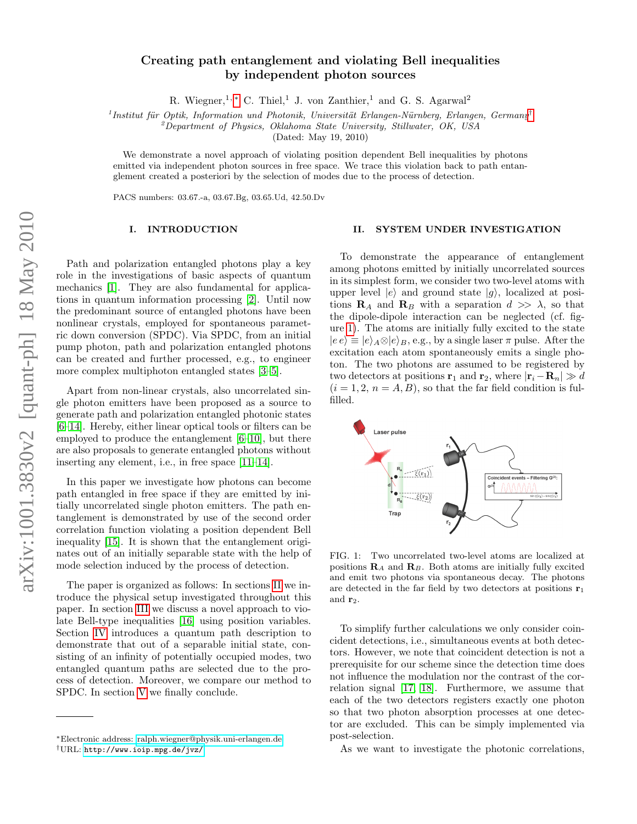# Creating path entanglement and violating Bell inequalities by independent photon sources

R. Wiegner,<sup>1,\*</sup> C. Thiel,<sup>1</sup> J. von Zanthier,<sup>1</sup> and G. S. Agarwal<sup>2</sup>

 $<sup>i</sup> Institut für Optik, Information und Photonik, Universität Erlangen-Nürnberg, Erlangen, Germany<sup>†</sup>$  $<sup>i</sup> Institut für Optik, Information und Photonik, Universität Erlangen-Nürnberg, Erlangen, Germany<sup>†</sup>$  $<sup>i</sup> Institut für Optik, Information und Photonik, Universität Erlangen-Nürnberg, Erlangen, Germany<sup>†</sup>$ </sup>

 $^{2}$ Department of Physics, Oklahoma State University, Stillwater, OK, USA

(Dated: May 19, 2010)

We demonstrate a novel approach of violating position dependent Bell inequalities by photons emitted via independent photon sources in free space. We trace this violation back to path entanglement created a posteriori by the selection of modes due to the process of detection.

PACS numbers: 03.67.-a, 03.67.Bg, 03.65.Ud, 42.50.Dv

## I. INTRODUCTION

Path and polarization entangled photons play a key role in the investigations of basic aspects of quantum mechanics [\[1\]](#page-4-0). They are also fundamental for applications in quantum information processing [\[2\]](#page-4-1). Until now the predominant source of entangled photons have been nonlinear crystals, employed for spontaneous parametric down conversion (SPDC). Via SPDC, from an initial pump photon, path and polarization entangled photons can be created and further processed, e.g., to engineer more complex multiphoton entangled states [\[3–](#page-4-2)[5\]](#page-4-3).

Apart from non-linear crystals, also uncorrelated single photon emitters have been proposed as a source to generate path and polarization entangled photonic states [\[6–](#page-4-4)[14\]](#page-4-5). Hereby, either linear optical tools or filters can be employed to produce the entanglement [\[6–](#page-4-4)[10\]](#page-4-6), but there are also proposals to generate entangled photons without inserting any element, i.e., in free space [\[11](#page-4-7)[–14\]](#page-4-5).

In this paper we investigate how photons can become path entangled in free space if they are emitted by initially uncorrelated single photon emitters. The path entanglement is demonstrated by use of the second order correlation function violating a position dependent Bell inequality [\[15\]](#page-4-8). It is shown that the entanglement originates out of an initially separable state with the help of mode selection induced by the process of detection.

The paper is organized as follows: In sections [II](#page-0-2) we introduce the physical setup investigated throughout this paper. In section [III](#page-1-0) we discuss a novel approach to violate Bell-type inequalities [\[16\]](#page-4-9) using position variables. Section [IV](#page-2-0) introduces a quantum path description to demonstrate that out of a separable initial state, consisting of an infinity of potentially occupied modes, two entangled quantum paths are selected due to the process of detection. Moreover, we compare our method to SPDC. In section [V](#page-4-10) we finally conclude.

#### <span id="page-0-2"></span>II. SYSTEM UNDER INVESTIGATION

To demonstrate the appearance of entanglement among photons emitted by initially uncorrelated sources in its simplest form, we consider two two-level atoms with upper level  $|e\rangle$  and ground state  $|g\rangle$ , localized at positions  $\mathbf{R}_A$  and  $\mathbf{R}_B$  with a separation  $d \gg \lambda$ , so that the dipole-dipole interaction can be neglected (cf. figure [1\)](#page-0-3). The atoms are initially fully excited to the state  $|e e\rangle \equiv |e\rangle_A \otimes |e\rangle_B$ , e.g., by a single laser  $\pi$  pulse. After the excitation each atom spontaneously emits a single photon. The two photons are assumed to be registered by two detectors at positions  $\mathbf{r}_1$  and  $\mathbf{r}_2$ , where  $|\mathbf{r}_i-\mathbf{R}_n| \gg d$  $(i = 1, 2, n = A, B)$ , so that the far field condition is fulfilled.



<span id="page-0-3"></span>FIG. 1: Two uncorrelated two-level atoms are localized at positions  $\mathbf{R}_A$  and  $\mathbf{R}_B$ . Both atoms are initially fully excited and emit two photons via spontaneous decay. The photons are detected in the far field by two detectors at positions  $r_1$ and  $r_2$ .

To simplify further calculations we only consider coincident detections, i.e., simultaneous events at both detectors. However, we note that coincident detection is not a prerequisite for our scheme since the detection time does not influence the modulation nor the contrast of the correlation signal [\[17,](#page-4-11) [18\]](#page-4-12). Furthermore, we assume that each of the two detectors registers exactly one photon so that two photon absorption processes at one detector are excluded. This can be simply implemented via post-selection.

As we want to investigate the photonic correlations,

<span id="page-0-0"></span><sup>∗</sup>Electronic address: [ralph.wiegner@physik.uni-erlangen.de](mailto:ralph.wiegner@physik.uni-erlangen.de)

<span id="page-0-1"></span><sup>†</sup>URL: <http://www.ioip.mpg.de/jvz/>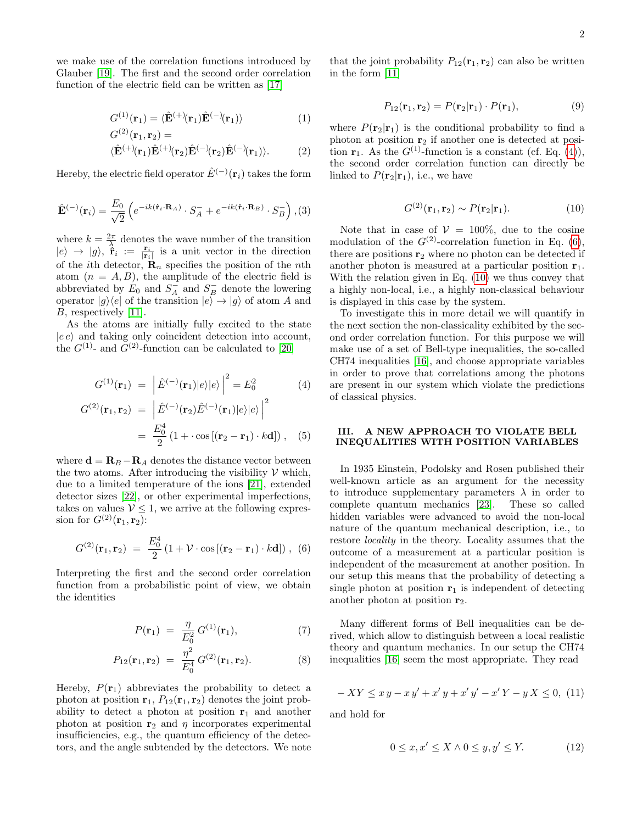we make use of the correlation functions introduced by Glauber [\[19\]](#page-4-13). The first and the second order correlation function of the electric field can be written as [\[17\]](#page-4-11)

$$
G^{(1)}(\mathbf{r}_1) = \langle \hat{\mathbf{E}}^{(+)}(\mathbf{r}_1) \hat{\mathbf{E}}^{(-)}(\mathbf{r}_1) \rangle \tag{1}
$$

$$
G^{(2)}(\mathbf{r}_1, \mathbf{r}_2) =
$$
  

$$
\langle \hat{\mathbf{E}}^{(+)}(\mathbf{r}_1) \hat{\mathbf{E}}^{(+)}(\mathbf{r}_2) \hat{\mathbf{E}}^{(-)}(\mathbf{r}_2) \hat{\mathbf{E}}^{(-)}(\mathbf{r}_1) \rangle.
$$
 (2)

Hereby, the electric field operator  $\hat{E}^{(-)}(\mathbf{r}_i)$  takes the form

$$
\hat{\mathbf{E}}^{(-)}(\mathbf{r}_i) = \frac{E_0}{\sqrt{2}} \left( e^{-ik(\hat{\mathbf{r}}_i \cdot \mathbf{R}_A)} \cdot S_A^- + e^{-ik(\hat{\mathbf{r}}_i \cdot \mathbf{R}_B)} \cdot S_B^- \right), (3)
$$

where  $k = \frac{2\pi}{\lambda}$  denotes the wave number of the transition  $|e\rangle \rightarrow |g\rangle$ ,  $\hat{\mathbf{\hat{r}}}_i := \frac{\mathbf{r}_i}{|\mathbf{r}_i|}$  is a unit vector in the direction of the *i*th detector,  $\mathbf{R}_n$  specifies the position of the *n*th atom  $(n = A, B)$ , the amplitude of the electric field is abbreviated by  $E_0$  and  $S_A^-$  and  $S_B^-$  denote the lowering operator  $|g\rangle\langle e|$  of the transition  $|e\rangle \rightarrow |g\rangle$  of atom A and B, respectively [\[11\]](#page-4-7).

As the atoms are initially fully excited to the state  $|ee\rangle$  and taking only coincident detection into account, the  $G^{(1)}$ - and  $G^{(2)}$ -function can be calculated to [\[20\]](#page-4-14)

<span id="page-1-1"></span>
$$
G^{(1)}(\mathbf{r}_1) = |\hat{E}^{(-)}(\mathbf{r}_1)|e\rangle|e\rangle|^2 = E_0^2 \tag{4}
$$

$$
G^{(2)}(\mathbf{r}_1, \mathbf{r}_2) = \left| \hat{E}^{(-)}(\mathbf{r}_2) \hat{E}^{(-)}(\mathbf{r}_1) |e\rangle |e\rangle \right|^2
$$
  
= 
$$
\frac{E_0^4}{2} (1 + \cos[(\mathbf{r}_2 - \mathbf{r}_1) \cdot k \mathbf{d}]),
$$
 (5)

where  $\mathbf{d} = \mathbf{R}_B - \mathbf{R}_A$  denotes the distance vector between the two atoms. After introducing the visibility  $V$  which, due to a limited temperature of the ions [\[21\]](#page-4-15), extended detector sizes [\[22\]](#page-4-16), or other experimental imperfections, takes on values  $V \leq 1$ , we arrive at the following expression for  $G^{(2)}({\bf r}_1, {\bf r}_2)$ :

<span id="page-1-2"></span>
$$
G^{(2)}(\mathbf{r}_1, \mathbf{r}_2) = \frac{E_0^4}{2} (1 + \mathcal{V} \cdot \cos[(\mathbf{r}_2 - \mathbf{r}_1) \cdot k \mathbf{d}]), \tag{6}
$$

Interpreting the first and the second order correlation function from a probabilistic point of view, we obtain the identities

$$
P(\mathbf{r}_1) = \frac{\eta}{E_0^2} G^{(1)}(\mathbf{r}_1), \tag{7}
$$

$$
P_{12}(\mathbf{r}_1, \mathbf{r}_2) = \frac{\eta^2}{E_0^4} G^{(2)}(\mathbf{r}_1, \mathbf{r}_2).
$$
 (8)

Hereby,  $P(\mathbf{r}_1)$  abbreviates the probability to detect a photon at position  $r_1$ ,  $P_{12}(r_1, r_2)$  denotes the joint probability to detect a photon at position  $r_1$  and another photon at position  $r_2$  and  $\eta$  incorporates experimental insufficiencies, e.g., the quantum efficiency of the detectors, and the angle subtended by the detectors. We note

that the joint probability  $P_{12}(\mathbf{r}_1, \mathbf{r}_2)$  can also be written in the form [\[11\]](#page-4-7)

$$
P_{12}(\mathbf{r}_1, \mathbf{r}_2) = P(\mathbf{r}_2 | \mathbf{r}_1) \cdot P(\mathbf{r}_1),\tag{9}
$$

where  $P(\mathbf{r}_2|\mathbf{r}_1)$  is the conditional probability to find a photon at position  $r_2$  if another one is detected at position  $\mathbf{r}_1$ . As the  $G^{(1)}$ -function is a constant (cf. Eq. [\(4\)](#page-1-1)), the second order correlation function can directly be linked to  $P(\mathbf{r}_2|\mathbf{r}_1)$ , i.e., we have

<span id="page-1-3"></span>
$$
G^{(2)}(\mathbf{r}_1, \mathbf{r}_2) \sim P(\mathbf{r}_2 | \mathbf{r}_1). \tag{10}
$$

Note that in case of  $V = 100\%$ , due to the cosine modulation of the  $G^{(2)}$ -correlation function in Eq. [\(6\)](#page-1-2), there are positions  $r_2$  where no photon can be detected if another photon is measured at a particular position  $r_1$ . With the relation given in Eq. [\(10\)](#page-1-3) we thus convey that a highly non-local, i.e., a highly non-classical behaviour is displayed in this case by the system.

To investigate this in more detail we will quantify in the next section the non-classicality exhibited by the second order correlation function. For this purpose we will make use of a set of Bell-type inequalities, the so-called CH74 inequalities [\[16\]](#page-4-9), and choose appropriate variables in order to prove that correlations among the photons are present in our system which violate the predictions of classical physics.

### <span id="page-1-0"></span>III. A NEW APPROACH TO VIOLATE BELL INEQUALITIES WITH POSITION VARIABLES

In 1935 Einstein, Podolsky and Rosen published their well-known article as an argument for the necessity to introduce supplementary parameters  $\lambda$  in order to complete quantum mechanics [\[23\]](#page-4-17). These so called hidden variables were advanced to avoid the non-local nature of the quantum mechanical description, i.e., to restore locality in the theory. Locality assumes that the outcome of a measurement at a particular position is independent of the measurement at another position. In our setup this means that the probability of detecting a single photon at position  $r_1$  is independent of detecting another photon at position  $r_2$ .

Many different forms of Bell inequalities can be derived, which allow to distinguish between a local realistic theory and quantum mechanics. In our setup the CH74 inequalities [\[16\]](#page-4-9) seem the most appropriate. They read

<span id="page-1-4"></span>
$$
-XY \le xy - xy' + x'y + x'y' - x'Y - yX \le 0, (11)
$$

and hold for

$$
0 \le x, x' \le X \land 0 \le y, y' \le Y. \tag{12}
$$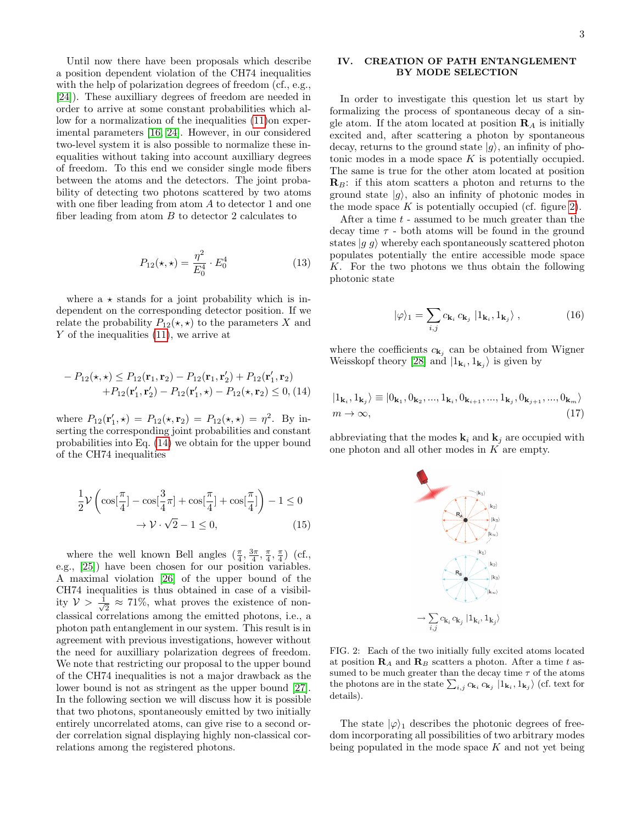Until now there have been proposals which describe a position dependent violation of the CH74 inequalities with the help of polarization degrees of freedom (cf., e.g., [\[24\]](#page-4-18)). These auxilliary degrees of freedom are needed in order to arrive at some constant probabilities which allow for a normalization of the inequalities [\(11\)](#page-1-4)on experimental parameters [\[16,](#page-4-9) [24\]](#page-4-18). However, in our considered two-level system it is also possible to normalize these inequalities without taking into account auxilliary degrees of freedom. To this end we consider single mode fibers between the atoms and the detectors. The joint probability of detecting two photons scattered by two atoms with one fiber leading from atom A to detector 1 and one fiber leading from atom  $B$  to detector 2 calculates to

$$
P_{12}(\star,\star) = \frac{\eta^2}{E_0^4} \cdot E_0^4 \tag{13}
$$

where  $a \star$  stands for a joint probability which is independent on the corresponding detector position. If we relate the probability  $P_{12}(\star, \star)$  to the parameters X and Y of the inequalities  $(11)$ , we arrive at

<span id="page-2-1"></span>
$$
- P_{12}(\mathbf{x}, \mathbf{x}) \le P_{12}(\mathbf{r}_1, \mathbf{r}_2) - P_{12}(\mathbf{r}_1, \mathbf{r}_2') + P_{12}(\mathbf{r}_1', \mathbf{r}_2) + P_{12}(\mathbf{r}_1', \mathbf{r}_2') - P_{12}(\mathbf{r}_1', \mathbf{x}) - P_{12}(\mathbf{x}, \mathbf{r}_2) \le 0, (14)
$$

where  $P_{12}(\mathbf{r}'_1, \star) = P_{12}(\star, \mathbf{r}_2) = P_{12}(\star, \star) = \eta^2$ . By inserting the corresponding joint probabilities and constant probabilities into Eq. [\(14\)](#page-2-1) we obtain for the upper bound of the CH74 inequalities

$$
\frac{1}{2}\mathcal{V}\left(\cos\left[\frac{\pi}{4}\right]-\cos\left[\frac{3}{4}\pi\right]+\cos\left[\frac{\pi}{4}\right]+\cos\left[\frac{\pi}{4}\right]\right)-1 \leq 0
$$

$$
\rightarrow \mathcal{V}\cdot\sqrt{2}-1 \leq 0,
$$
(15)

where the well known Bell angles  $(\frac{\pi}{4}, \frac{3\pi}{4}, \frac{\pi}{4}, \frac{\pi}{4})$  (cf., e.g., [\[25\]](#page-4-19)) have been chosen for our position variables. A maximal violation [\[26\]](#page-4-20) of the upper bound of the CH74 inequalities is thus obtained in case of a visibility  $\mathcal{V} > \frac{1}{\sqrt{2}}$  $\frac{1}{2} \approx 71\%$ , what proves the existence of nonclassical correlations among the emitted photons, i.e., a photon path entanglement in our system. This result is in agreement with previous investigations, however without the need for auxilliary polarization degrees of freedom. We note that restricting our proposal to the upper bound of the CH74 inequalities is not a major drawback as the lower bound is not as stringent as the upper bound [\[27\]](#page-4-21). In the following section we will discuss how it is possible that two photons, spontaneously emitted by two initially entirely uncorrelated atoms, can give rise to a second order correlation signal displaying highly non-classical correlations among the registered photons.

# <span id="page-2-0"></span>IV. CREATION OF PATH ENTANGLEMENT BY MODE SELECTION

In order to investigate this question let us start by formalizing the process of spontaneous decay of a single atom. If the atom located at position  $\mathbf{R}_A$  is initially excited and, after scattering a photon by spontaneous decay, returns to the ground state  $|g\rangle$ , an infinity of photonic modes in a mode space  $K$  is potentially occupied. The same is true for the other atom located at position  $\mathbf{R}_B$ : if this atom scatters a photon and returns to the ground state  $|g\rangle$ , also an infinity of photonic modes in the mode space  $K$  is potentially occupied (cf. figure [2\)](#page-2-2).

After a time  $t$  - assumed to be much greater than the decay time  $\tau$  - both atoms will be found in the ground states  $|q \, q\rangle$  whereby each spontaneously scattered photon populates potentially the entire accessible mode space K. For the two photons we thus obtain the following photonic state

<span id="page-2-3"></span>
$$
|\varphi\rangle_1 = \sum_{i,j} c_{\mathbf{k}_i} c_{\mathbf{k}_j} |1_{\mathbf{k}_i}, 1_{\mathbf{k}_j}\rangle, \qquad (16)
$$

where the coefficients  $c_{\mathbf{k}_j}$  can be obtained from Wigner Weisskopf theory [\[28\]](#page-4-22) and  $|1_{\mathbf{k}_i}, 1_{\mathbf{k}_j}\rangle$  is given by

$$
|1_{\mathbf{k}_i}, 1_{\mathbf{k}_j}\rangle \equiv |0_{\mathbf{k}_1}, 0_{\mathbf{k}_2}, ..., 1_{\mathbf{k}_i}, 0_{\mathbf{k}_{i+1}}, ..., 1_{\mathbf{k}_j}, 0_{\mathbf{k}_{j+1}}, ..., 0_{\mathbf{k}_m}\rangle
$$
  

$$
m \to \infty,
$$
 (17)

abbreviating that the modes  $\mathbf{k}_i$  and  $\mathbf{k}_j$  are occupied with one photon and all other modes in K are empty.



<span id="page-2-2"></span>FIG. 2: Each of the two initially fully excited atoms located at position  $\mathbf{R}_A$  and  $\mathbf{R}_B$  scatters a photon. After a time t assumed to be much greater than the decay time  $\tau$  of the atoms the photons are in the state  $\sum_{i,j} c_{\mathbf{k}_i} c_{\mathbf{k}_j} |1_{\mathbf{k}_i}, 1_{\mathbf{k}_j}\rangle$  (cf. text for details).

The state  $|\varphi\rangle_1$  describes the photonic degrees of freedom incorporating all possibilities of two arbitrary modes being populated in the mode space  $K$  and not yet being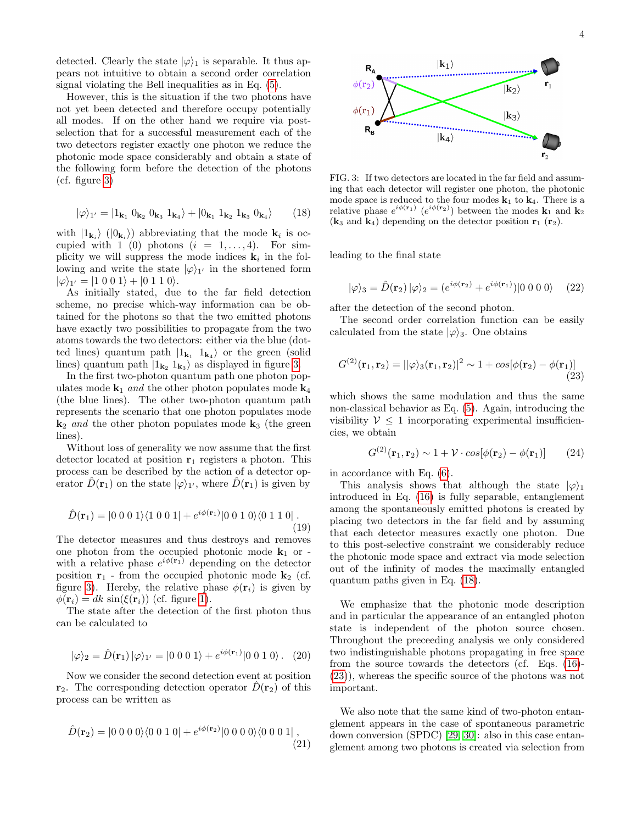detected. Clearly the state  $|\varphi\rangle_1$  is separable. It thus appears not intuitive to obtain a second order correlation signal violating the Bell inequalities as in Eq. [\(5\)](#page-1-1).

However, this is the situation if the two photons have not yet been detected and therefore occupy potentially all modes. If on the other hand we require via postselection that for a successful measurement each of the two detectors register exactly one photon we reduce the photonic mode space considerably and obtain a state of the following form before the detection of the photons (cf. figure [3\)](#page-3-0)

<span id="page-3-1"></span>
$$
|\varphi\rangle_{1'} = |1_{\mathbf{k}_1} 0_{\mathbf{k}_2} 0_{\mathbf{k}_3} 1_{\mathbf{k}_4}\rangle + |0_{\mathbf{k}_1} 1_{\mathbf{k}_2} 1_{\mathbf{k}_3} 0_{\mathbf{k}_4}\rangle \qquad (18)
$$

with  $|1_{\mathbf{k}_i}\rangle$  ( $|0_{\mathbf{k}_i}\rangle$ ) abbreviating that the mode  $\mathbf{k}_i$  is occupied with 1 (0) photons  $(i = 1, \ldots, 4)$ . For simplicity we will suppress the mode indices  $\mathbf{k}_i$  in the following and write the state  $|\varphi\rangle_{1'}$  in the shortened form  $|\varphi\rangle_{1'} = |1\;0\;0\;1\rangle + |0\;1\;1\;0\rangle.$ 

As initially stated, due to the far field detection scheme, no precise which-way information can be obtained for the photons so that the two emitted photons have exactly two possibilities to propagate from the two atoms towards the two detectors: either via the blue (dotted lines) quantum path  $|1_{\mathbf{k}_1} 1_{\mathbf{k}_4} \rangle$  or the green (solid lines) quantum path  $|1_{\mathbf{k}_2} 1_{\mathbf{k}_3} \rangle$  as displayed in figure [3.](#page-3-0)

In the first two-photon quantum path one photon populates mode  $\mathbf{k}_1$  and the other photon populates mode  $\mathbf{k}_4$ (the blue lines). The other two-photon quantum path represents the scenario that one photon populates mode  $k_2$  and the other photon populates mode  $k_3$  (the green lines).

Without loss of generality we now assume that the first detector located at position  $r_1$  registers a photon. This process can be described by the action of a detector operator  $\hat{D}(\mathbf{r}_1)$  on the state  $|\varphi\rangle_{1'}$ , where  $\hat{D}(\mathbf{r}_1)$  is given by

$$
\hat{D}(\mathbf{r}_1) = |0\ 0\ 0\ 1\rangle\langle 1\ 0\ 0\ 1| + e^{i\phi(\mathbf{r}_1)}|0\ 0\ 1\ 0\rangle\langle 0\ 1\ 1\ 0|.
$$
\n(19)

The detector measures and thus destroys and removes one photon from the occupied photonic mode  $\mathbf{k}_1$  or with a relative phase  $e^{i\phi(\mathbf{r}_1)}$  depending on the detector position  $r_1$  - from the occupied photonic mode  $k_2$  (cf. figure [3\)](#page-3-0). Hereby, the relative phase  $\phi(\mathbf{r}_i)$  is given by  $\phi(\mathbf{r}_i) = dk \sin(\xi(\mathbf{r}_i))$  (cf. figure [1\)](#page-0-3).

The state after the detection of the first photon thus can be calculated to

$$
|\varphi\rangle_2 = \hat{D}(\mathbf{r}_1) |\varphi\rangle_{1'} = |0\ 0\ 0\ 1\rangle + e^{i\phi(\mathbf{r}_1)} |0\ 0\ 1\ 0\rangle. \tag{20}
$$

Now we consider the second detection event at position  $\mathbf{r}_2$ . The corresponding detection operator  $D(\mathbf{r}_2)$  of this process can be written as

$$
\hat{D}(\mathbf{r}_2) = |0\ 0\ 0\ 0\rangle\langle 0\ 0\ 1\ 0| + e^{i\phi(\mathbf{r}_2)}|0\ 0\ 0\ 0\rangle\langle 0\ 0\ 0\ 1| \ , \tag{21}
$$



<span id="page-3-0"></span>FIG. 3: If two detectors are located in the far field and assuming that each detector will register one photon, the photonic mode space is reduced to the four modes  $k_1$  to  $k_4$ . There is a relative phase  $e^{i\phi(\mathbf{r}_1)}$   $(e^{i\phi(\mathbf{r}_2)})$  between the modes  $\mathbf{k}_1$  and  $\mathbf{k}_2$  $(k_3 \text{ and } k_4)$  depending on the detector position  $r_1$   $(r_2)$ .

leading to the final state

$$
|\varphi\rangle_3 = \hat{D}(\mathbf{r}_2) |\varphi\rangle_2 = (e^{i\phi(\mathbf{r}_2)} + e^{i\phi(\mathbf{r}_1)}) |0\ 0\ 0\ 0\rangle \tag{22}
$$

after the detection of the second photon.

The second order correlation function can be easily calculated from the state  $|\varphi\rangle_3$ . One obtains

$$
G^{(2)}(\mathbf{r}_1, \mathbf{r}_2) = ||\varphi\rangle_3(\mathbf{r}_1, \mathbf{r}_2)|^2 \sim 1 + \cos[\phi(\mathbf{r}_2) - \phi(\mathbf{r}_1)] \tag{23}
$$

which shows the same modulation and thus the same non-classical behavior as Eq. [\(5\)](#page-1-1). Again, introducing the visibility  $V \leq 1$  incorporating experimental insufficiencies, we obtain

<span id="page-3-2"></span>
$$
G^{(2)}(\mathbf{r}_1, \mathbf{r}_2) \sim 1 + \mathcal{V} \cdot \cos[\phi(\mathbf{r}_2) - \phi(\mathbf{r}_1)] \qquad (24)
$$

in accordance with Eq. [\(6\)](#page-1-2).

This analysis shows that although the state  $|\varphi\rangle_1$ introduced in Eq. [\(16\)](#page-2-3) is fully separable, entanglement among the spontaneously emitted photons is created by placing two detectors in the far field and by assuming that each detector measures exactly one photon. Due to this post-selective constraint we considerably reduce the photonic mode space and extract via mode selection out of the infinity of modes the maximally entangled quantum paths given in Eq. [\(18\)](#page-3-1).

We emphasize that the photonic mode description and in particular the appearance of an entangled photon state is independent of the photon source chosen. Throughout the preceeding analysis we only considered two indistinguishable photons propagating in free space from the source towards the detectors (cf. Eqs. [\(16\)](#page-2-3)- [\(23\)](#page-3-2)), whereas the specific source of the photons was not important.

We also note that the same kind of two-photon entanglement appears in the case of spontaneous parametric down conversion (SPDC) [\[29,](#page-5-0) [30\]](#page-5-1): also in this case entanglement among two photons is created via selection from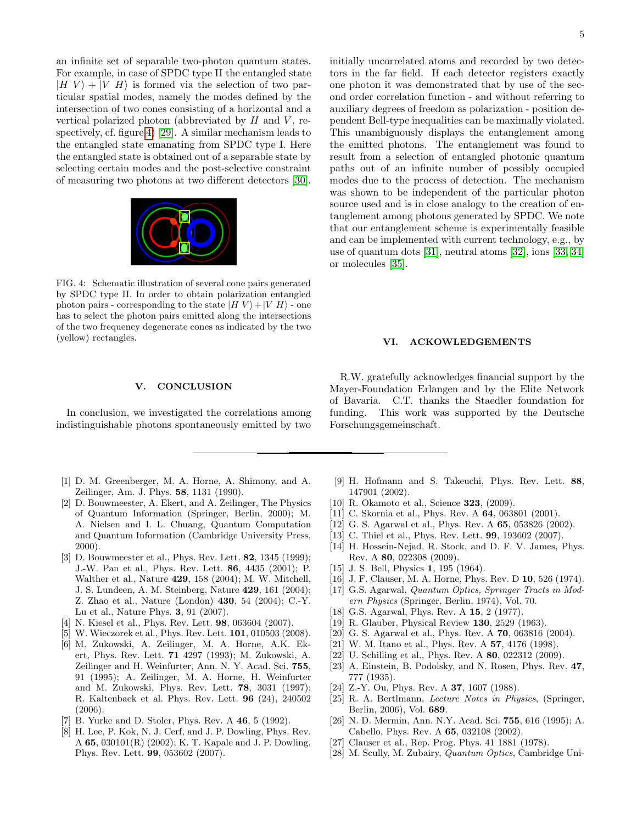an infinite set of separable two-photon quantum states. For example, in case of SPDC type II the entangled state  $|H V\rangle + |V H\rangle$  is formed via the selection of two particular spatial modes, namely the modes defined by the intersection of two cones consisting of a horizontal and a vertical polarized photon (abbreviated by  $H$  and  $V$ , respectively, cf. figure [4\)](#page-4-23) [\[29\]](#page-5-0). A similar mechanism leads to the entangled state emanating from SPDC type I. Here the entangled state is obtained out of a separable state by selecting certain modes and the post-selective constraint of measuring two photons at two different detectors [\[30\]](#page-5-1).

<span id="page-4-23"></span>

FIG. 4: Schematic illustration of several cone pairs generated by SPDC type II. In order to obtain polarization entangled photon pairs - corresponding to the state  $|H V\rangle + |V H\rangle$  - one has to select the photon pairs emitted along the intersections of the two frequency degenerate cones as indicated by the two (yellow) rectangles.

#### <span id="page-4-10"></span>V. CONCLUSION

In conclusion, we investigated the correlations among indistinguishable photons spontaneously emitted by two

- <span id="page-4-0"></span>[1] D. M. Greenberger, M. A. Horne, A. Shimony, and A. Zeilinger, Am. J. Phys. 58, 1131 (1990).
- <span id="page-4-1"></span>[2] D. Bouwmeester, A. Ekert, and A. Zeilinger, The Physics of Quantum Information (Springer, Berlin, 2000); M. A. Nielsen and I. L. Chuang, Quantum Computation and Quantum Information (Cambridge University Press, 2000).
- <span id="page-4-2"></span>[3] D. Bouwmeester et al., Phys. Rev. Lett. **82**, 1345 (1999); J.-W. Pan et al., Phys. Rev. Lett. 86, 4435 (2001); P. Walther et al., Nature 429, 158 (2004); M. W. Mitchell, J. S. Lundeen, A. M. Steinberg, Nature 429, 161 (2004); Z. Zhao et al., Nature (London) 430, 54 (2004); C.-Y. Lu et al., Nature Phys. 3, 91 (2007).
- [4] N. Kiesel et al., Phys. Rev. Lett. 98, 063604 (2007).
- <span id="page-4-3"></span>[5] W. Wieczorek et al., Phys. Rev. Lett. **101**, 010503 (2008).
- <span id="page-4-4"></span>[6] M. Zukowski, A. Zeilinger, M. A. Horne, A.K. Ekert, Phys. Rev. Lett. 71 4297 (1993); M. Zukowski, A. Zeilinger and H. Weinfurter, Ann. N. Y. Acad. Sci. 755, 91 (1995); A. Zeilinger, M. A. Horne, H. Weinfurter and M. Zukowski, Phys. Rev. Lett. 78, 3031 (1997); R. Kaltenbaek et al. Phys. Rev. Lett. 96 (24), 240502 (2006).
- [7] B. Yurke and D. Stoler, Phys. Rev. A 46, 5 (1992).
- [8] H. Lee, P. Kok, N. J. Cerf, and J. P. Dowling, Phys. Rev. A 65, 030101(R) (2002); K. T. Kapale and J. P. Dowling, Phys. Rev. Lett. 99, 053602 (2007).

initially uncorrelated atoms and recorded by two detectors in the far field. If each detector registers exactly one photon it was demonstrated that by use of the second order correlation function - and without referring to auxiliary degrees of freedom as polarization - position dependent Bell-type inequalities can be maximally violated. This unambiguously displays the entanglement among the emitted photons. The entanglement was found to result from a selection of entangled photonic quantum paths out of an infinite number of possibly occupied modes due to the process of detection. The mechanism was shown to be independent of the particular photon source used and is in close analogy to the creation of entanglement among photons generated by SPDC. We note that our entanglement scheme is experimentally feasible and can be implemented with current technology, e.g., by use of quantum dots [\[31\]](#page-5-2), neutral atoms [\[32\]](#page-5-3), ions [\[33,](#page-5-4) [34\]](#page-5-5) or molecules [\[35\]](#page-5-6).

#### VI. ACKOWLEDGEMENTS

R.W. gratefully acknowledges financial support by the Mayer-Foundation Erlangen and by the Elite Network of Bavaria. C.T. thanks the Staedler foundation for funding. This work was supported by the Deutsche Forschungsgemeinschaft.

- [9] H. Hofmann and S. Takeuchi, Phys. Rev. Lett. 88, 147901 (2002).
- <span id="page-4-6"></span>[10] R. Okamoto et al., Science 323, (2009).
- <span id="page-4-7"></span>[11] C. Skornia et al., Phys. Rev. A **64**, 063801 (2001).
- [12] G. S. Agarwal et al., Phys. Rev. A **65**, 053826 (2002).
- [13] C. Thiel et al., Phys. Rev. Lett. **99**, 193602 (2007).
- <span id="page-4-5"></span>[14] H. Hossein-Nejad, R. Stock, and D. F. V. James, Phys. Rev. A 80, 022308 (2009).
- <span id="page-4-8"></span>[15] J. S. Bell, Physics 1, 195 (1964).
- <span id="page-4-9"></span>[16] J. F. Clauser, M. A. Horne, Phys. Rev. D 10, 526 (1974).
- <span id="page-4-11"></span>[17] G.S. Agarwal, Quantum Optics, Springer Tracts in Modern Physics (Springer, Berlin, 1974), Vol. 70.
- <span id="page-4-12"></span>[18] G.S. Agarwal, Phys. Rev. A 15, 2 (1977).
- <span id="page-4-13"></span>[19] R. Glauber, Physical Review 130, 2529 (1963).
- <span id="page-4-14"></span>[20] G. S. Agarwal et al., Phys. Rev. A **70**, 063816 (2004).
- <span id="page-4-15"></span>[21] W. M. Itano et al., Phys. Rev. A **57**, 4176 (1998).
- <span id="page-4-16"></span>[22] U. Schilling et al., Phys. Rev. A 80, 022312 (2009).
- <span id="page-4-17"></span>[23] A. Einstein, B. Podolsky, and N. Rosen, Phys. Rev. 47, 777 (1935).
- <span id="page-4-18"></span>[24] Z.-Y. Ou, Phys. Rev. A **37**, 1607 (1988).
- <span id="page-4-19"></span>[25] R. A. Bertlmann, Lecture Notes in Physics, (Springer, Berlin, 2006), Vol. 689.
- <span id="page-4-20"></span>[26] N. D. Mermin, Ann. N.Y. Acad. Sci. 755, 616 (1995); A. Cabello, Phys. Rev. A 65, 032108 (2002).
- <span id="page-4-21"></span>[27] Clauser et al., Rep. Prog. Phys. 41 1881 (1978).
- <span id="page-4-22"></span>[28] M. Scully, M. Zubairy, Quantum Optics, Cambridge Uni-